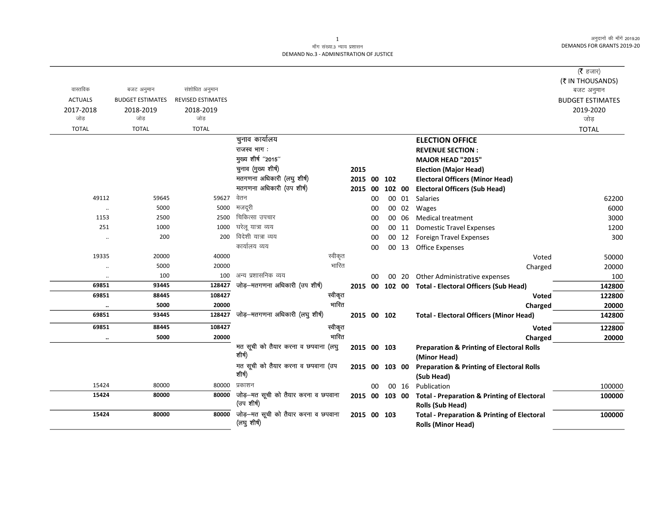अनुदानों की माँगें 2019.20 DEMANDS FOR GRANTS 2019-20

## माँग संख्या.3 न्याय प्रशासन DEMAND No.3 - ADMINISTRATION OF JUSTICE

| (₹ IN THOUSANDS)<br>वास्तविक<br>संशोधित अनुमान<br>बजट अनुमान<br>बजट अनुमान<br><b>ACTUALS</b><br>REVISED ESTIMATES<br><b>BUDGET ESTIMATES</b><br><b>BUDGET ESTIMATES</b><br>2017-2018<br>2018-2019<br>2018-2019<br>2019-2020<br>जोड़<br>जोड<br>जोड<br>जोड़<br><b>TOTAL</b><br><b>TOTAL</b><br><b>TOTAL</b><br><b>TOTAL</b><br>चुनाव कार्यालय<br><b>ELECTION OFFICE</b><br>राजस्व भाग:<br><b>REVENUE SECTION:</b><br>मुख्य शीर्ष "2015"<br>MAJOR HEAD "2015"<br>चुनाव (मुख्य शीर्ष)<br>2015<br><b>Election (Major Head)</b><br>मतगणना अधिकारी (लघु शीर्ष)<br>2015 00<br>102<br><b>Electoral Officers (Minor Head)</b><br>मतगणना अधिकारी (उप शीर्ष)<br><b>Electoral Officers (Sub Head)</b><br>00<br>102 00<br>2015<br>वेतन<br>59627<br>49112<br>59645<br>00 01 Salaries<br>00<br>62200<br>मजदूरी<br>5000<br>5000<br>00 02<br>6000<br>00<br>Wages<br>$\ddotsc$<br>चिकित्सा उपचार<br>1153<br>2500<br>2500<br>00 06<br><b>Medical treatment</b><br>3000<br>00<br>घरेलू यात्रा व्यय<br>251<br>1000<br>1000<br>00<br><b>Domestic Travel Expenses</b><br>1200<br>00 11<br>विदेशी यात्रा व्यय<br>200<br>200<br>300<br>00<br>00 12 Foreign Travel Expenses<br>$\ldots$<br>कार्यालय व्यय<br>00<br>00 13 Office Expenses<br>स्वीकृत<br>40000<br>19335<br>20000<br>Voted<br>50000<br>भारित<br>5000<br>20000<br>20000<br>Charged<br>अन्य प्रशासनिक व्यय<br>100<br>100<br>00<br>Other Administrative expenses<br>100<br>00 20<br>$\ddotsc$<br>जोड़—मतगणना अधिकारी (उप शीर्ष)<br>128427<br>69851<br>93445<br>2015 00 102 00 Total - Electoral Officers (Sub Head)<br>142800<br>108427<br>69851<br>स्वीकृत<br>88445<br>Voted<br>122800<br>भारित<br>5000<br>20000<br>20000<br>Charged<br>$\ddotsc$<br>जोड़—मतगणना अधिकारी (लघु शीर्ष)<br>128427<br>69851<br>93445<br><b>Total - Electoral Officers (Minor Head)</b><br>2015 00 102<br>142800<br>स्वीकृत<br>108427<br>69851<br>88445<br><b>Voted</b><br>भारित<br>5000<br>20000<br>Charged<br>$\cdot \cdot$<br>मत सूची को तैयार करना व छपवाना (लघु<br>2015 00 103<br><b>Preparation &amp; Printing of Electoral Rolls</b><br>शीर्ष)<br>(Minor Head)<br>मत सूची को तैयार करना व छपवाना (उप<br><b>Preparation &amp; Printing of Electoral Rolls</b><br>2015 00<br>103 00<br>शीर्ष)<br>(Sub Head)<br>प्रकाशन<br>15424<br>80000<br>80000<br>Publication<br>00 16<br>00<br>जोड़-मत सूची को तैयार करना व छपवाना<br>15424<br>80000<br>80000<br>2015 00<br>103 00<br><b>Total - Preparation &amp; Printing of Electoral</b><br>(उप शीर्ष)<br>Rolls (Sub Head)<br>जोड़-मत सूची को तैयार करना व छपवाना<br>15424<br>80000<br>80000<br>2015 00 103<br><b>Total - Preparation &amp; Printing of Electoral</b><br>(लघु शीर्ष) |  |  |  |  |                           |                      |
|---------------------------------------------------------------------------------------------------------------------------------------------------------------------------------------------------------------------------------------------------------------------------------------------------------------------------------------------------------------------------------------------------------------------------------------------------------------------------------------------------------------------------------------------------------------------------------------------------------------------------------------------------------------------------------------------------------------------------------------------------------------------------------------------------------------------------------------------------------------------------------------------------------------------------------------------------------------------------------------------------------------------------------------------------------------------------------------------------------------------------------------------------------------------------------------------------------------------------------------------------------------------------------------------------------------------------------------------------------------------------------------------------------------------------------------------------------------------------------------------------------------------------------------------------------------------------------------------------------------------------------------------------------------------------------------------------------------------------------------------------------------------------------------------------------------------------------------------------------------------------------------------------------------------------------------------------------------------------------------------------------------------------------------------------------------------------------------------------------------------------------------------------------------------------------------------------------------------------------------------------------------------------------------------------------------------------------------------------------------------------------------------------------------------------------------------------------------------------------------------------------------------------------------------------------------------------------------------------------------------------------------------|--|--|--|--|---------------------------|----------------------|
|                                                                                                                                                                                                                                                                                                                                                                                                                                                                                                                                                                                                                                                                                                                                                                                                                                                                                                                                                                                                                                                                                                                                                                                                                                                                                                                                                                                                                                                                                                                                                                                                                                                                                                                                                                                                                                                                                                                                                                                                                                                                                                                                                                                                                                                                                                                                                                                                                                                                                                                                                                                                                                             |  |  |  |  |                           | ( $\bar{\tau}$ हजार) |
|                                                                                                                                                                                                                                                                                                                                                                                                                                                                                                                                                                                                                                                                                                                                                                                                                                                                                                                                                                                                                                                                                                                                                                                                                                                                                                                                                                                                                                                                                                                                                                                                                                                                                                                                                                                                                                                                                                                                                                                                                                                                                                                                                                                                                                                                                                                                                                                                                                                                                                                                                                                                                                             |  |  |  |  |                           |                      |
|                                                                                                                                                                                                                                                                                                                                                                                                                                                                                                                                                                                                                                                                                                                                                                                                                                                                                                                                                                                                                                                                                                                                                                                                                                                                                                                                                                                                                                                                                                                                                                                                                                                                                                                                                                                                                                                                                                                                                                                                                                                                                                                                                                                                                                                                                                                                                                                                                                                                                                                                                                                                                                             |  |  |  |  |                           |                      |
|                                                                                                                                                                                                                                                                                                                                                                                                                                                                                                                                                                                                                                                                                                                                                                                                                                                                                                                                                                                                                                                                                                                                                                                                                                                                                                                                                                                                                                                                                                                                                                                                                                                                                                                                                                                                                                                                                                                                                                                                                                                                                                                                                                                                                                                                                                                                                                                                                                                                                                                                                                                                                                             |  |  |  |  |                           |                      |
|                                                                                                                                                                                                                                                                                                                                                                                                                                                                                                                                                                                                                                                                                                                                                                                                                                                                                                                                                                                                                                                                                                                                                                                                                                                                                                                                                                                                                                                                                                                                                                                                                                                                                                                                                                                                                                                                                                                                                                                                                                                                                                                                                                                                                                                                                                                                                                                                                                                                                                                                                                                                                                             |  |  |  |  |                           |                      |
|                                                                                                                                                                                                                                                                                                                                                                                                                                                                                                                                                                                                                                                                                                                                                                                                                                                                                                                                                                                                                                                                                                                                                                                                                                                                                                                                                                                                                                                                                                                                                                                                                                                                                                                                                                                                                                                                                                                                                                                                                                                                                                                                                                                                                                                                                                                                                                                                                                                                                                                                                                                                                                             |  |  |  |  |                           |                      |
|                                                                                                                                                                                                                                                                                                                                                                                                                                                                                                                                                                                                                                                                                                                                                                                                                                                                                                                                                                                                                                                                                                                                                                                                                                                                                                                                                                                                                                                                                                                                                                                                                                                                                                                                                                                                                                                                                                                                                                                                                                                                                                                                                                                                                                                                                                                                                                                                                                                                                                                                                                                                                                             |  |  |  |  |                           |                      |
|                                                                                                                                                                                                                                                                                                                                                                                                                                                                                                                                                                                                                                                                                                                                                                                                                                                                                                                                                                                                                                                                                                                                                                                                                                                                                                                                                                                                                                                                                                                                                                                                                                                                                                                                                                                                                                                                                                                                                                                                                                                                                                                                                                                                                                                                                                                                                                                                                                                                                                                                                                                                                                             |  |  |  |  |                           |                      |
|                                                                                                                                                                                                                                                                                                                                                                                                                                                                                                                                                                                                                                                                                                                                                                                                                                                                                                                                                                                                                                                                                                                                                                                                                                                                                                                                                                                                                                                                                                                                                                                                                                                                                                                                                                                                                                                                                                                                                                                                                                                                                                                                                                                                                                                                                                                                                                                                                                                                                                                                                                                                                                             |  |  |  |  |                           |                      |
|                                                                                                                                                                                                                                                                                                                                                                                                                                                                                                                                                                                                                                                                                                                                                                                                                                                                                                                                                                                                                                                                                                                                                                                                                                                                                                                                                                                                                                                                                                                                                                                                                                                                                                                                                                                                                                                                                                                                                                                                                                                                                                                                                                                                                                                                                                                                                                                                                                                                                                                                                                                                                                             |  |  |  |  |                           |                      |
|                                                                                                                                                                                                                                                                                                                                                                                                                                                                                                                                                                                                                                                                                                                                                                                                                                                                                                                                                                                                                                                                                                                                                                                                                                                                                                                                                                                                                                                                                                                                                                                                                                                                                                                                                                                                                                                                                                                                                                                                                                                                                                                                                                                                                                                                                                                                                                                                                                                                                                                                                                                                                                             |  |  |  |  |                           |                      |
|                                                                                                                                                                                                                                                                                                                                                                                                                                                                                                                                                                                                                                                                                                                                                                                                                                                                                                                                                                                                                                                                                                                                                                                                                                                                                                                                                                                                                                                                                                                                                                                                                                                                                                                                                                                                                                                                                                                                                                                                                                                                                                                                                                                                                                                                                                                                                                                                                                                                                                                                                                                                                                             |  |  |  |  |                           |                      |
|                                                                                                                                                                                                                                                                                                                                                                                                                                                                                                                                                                                                                                                                                                                                                                                                                                                                                                                                                                                                                                                                                                                                                                                                                                                                                                                                                                                                                                                                                                                                                                                                                                                                                                                                                                                                                                                                                                                                                                                                                                                                                                                                                                                                                                                                                                                                                                                                                                                                                                                                                                                                                                             |  |  |  |  |                           |                      |
|                                                                                                                                                                                                                                                                                                                                                                                                                                                                                                                                                                                                                                                                                                                                                                                                                                                                                                                                                                                                                                                                                                                                                                                                                                                                                                                                                                                                                                                                                                                                                                                                                                                                                                                                                                                                                                                                                                                                                                                                                                                                                                                                                                                                                                                                                                                                                                                                                                                                                                                                                                                                                                             |  |  |  |  |                           |                      |
|                                                                                                                                                                                                                                                                                                                                                                                                                                                                                                                                                                                                                                                                                                                                                                                                                                                                                                                                                                                                                                                                                                                                                                                                                                                                                                                                                                                                                                                                                                                                                                                                                                                                                                                                                                                                                                                                                                                                                                                                                                                                                                                                                                                                                                                                                                                                                                                                                                                                                                                                                                                                                                             |  |  |  |  |                           |                      |
|                                                                                                                                                                                                                                                                                                                                                                                                                                                                                                                                                                                                                                                                                                                                                                                                                                                                                                                                                                                                                                                                                                                                                                                                                                                                                                                                                                                                                                                                                                                                                                                                                                                                                                                                                                                                                                                                                                                                                                                                                                                                                                                                                                                                                                                                                                                                                                                                                                                                                                                                                                                                                                             |  |  |  |  |                           |                      |
|                                                                                                                                                                                                                                                                                                                                                                                                                                                                                                                                                                                                                                                                                                                                                                                                                                                                                                                                                                                                                                                                                                                                                                                                                                                                                                                                                                                                                                                                                                                                                                                                                                                                                                                                                                                                                                                                                                                                                                                                                                                                                                                                                                                                                                                                                                                                                                                                                                                                                                                                                                                                                                             |  |  |  |  |                           |                      |
|                                                                                                                                                                                                                                                                                                                                                                                                                                                                                                                                                                                                                                                                                                                                                                                                                                                                                                                                                                                                                                                                                                                                                                                                                                                                                                                                                                                                                                                                                                                                                                                                                                                                                                                                                                                                                                                                                                                                                                                                                                                                                                                                                                                                                                                                                                                                                                                                                                                                                                                                                                                                                                             |  |  |  |  |                           |                      |
|                                                                                                                                                                                                                                                                                                                                                                                                                                                                                                                                                                                                                                                                                                                                                                                                                                                                                                                                                                                                                                                                                                                                                                                                                                                                                                                                                                                                                                                                                                                                                                                                                                                                                                                                                                                                                                                                                                                                                                                                                                                                                                                                                                                                                                                                                                                                                                                                                                                                                                                                                                                                                                             |  |  |  |  |                           |                      |
|                                                                                                                                                                                                                                                                                                                                                                                                                                                                                                                                                                                                                                                                                                                                                                                                                                                                                                                                                                                                                                                                                                                                                                                                                                                                                                                                                                                                                                                                                                                                                                                                                                                                                                                                                                                                                                                                                                                                                                                                                                                                                                                                                                                                                                                                                                                                                                                                                                                                                                                                                                                                                                             |  |  |  |  |                           |                      |
|                                                                                                                                                                                                                                                                                                                                                                                                                                                                                                                                                                                                                                                                                                                                                                                                                                                                                                                                                                                                                                                                                                                                                                                                                                                                                                                                                                                                                                                                                                                                                                                                                                                                                                                                                                                                                                                                                                                                                                                                                                                                                                                                                                                                                                                                                                                                                                                                                                                                                                                                                                                                                                             |  |  |  |  |                           |                      |
|                                                                                                                                                                                                                                                                                                                                                                                                                                                                                                                                                                                                                                                                                                                                                                                                                                                                                                                                                                                                                                                                                                                                                                                                                                                                                                                                                                                                                                                                                                                                                                                                                                                                                                                                                                                                                                                                                                                                                                                                                                                                                                                                                                                                                                                                                                                                                                                                                                                                                                                                                                                                                                             |  |  |  |  |                           |                      |
|                                                                                                                                                                                                                                                                                                                                                                                                                                                                                                                                                                                                                                                                                                                                                                                                                                                                                                                                                                                                                                                                                                                                                                                                                                                                                                                                                                                                                                                                                                                                                                                                                                                                                                                                                                                                                                                                                                                                                                                                                                                                                                                                                                                                                                                                                                                                                                                                                                                                                                                                                                                                                                             |  |  |  |  |                           |                      |
|                                                                                                                                                                                                                                                                                                                                                                                                                                                                                                                                                                                                                                                                                                                                                                                                                                                                                                                                                                                                                                                                                                                                                                                                                                                                                                                                                                                                                                                                                                                                                                                                                                                                                                                                                                                                                                                                                                                                                                                                                                                                                                                                                                                                                                                                                                                                                                                                                                                                                                                                                                                                                                             |  |  |  |  |                           |                      |
|                                                                                                                                                                                                                                                                                                                                                                                                                                                                                                                                                                                                                                                                                                                                                                                                                                                                                                                                                                                                                                                                                                                                                                                                                                                                                                                                                                                                                                                                                                                                                                                                                                                                                                                                                                                                                                                                                                                                                                                                                                                                                                                                                                                                                                                                                                                                                                                                                                                                                                                                                                                                                                             |  |  |  |  |                           |                      |
|                                                                                                                                                                                                                                                                                                                                                                                                                                                                                                                                                                                                                                                                                                                                                                                                                                                                                                                                                                                                                                                                                                                                                                                                                                                                                                                                                                                                                                                                                                                                                                                                                                                                                                                                                                                                                                                                                                                                                                                                                                                                                                                                                                                                                                                                                                                                                                                                                                                                                                                                                                                                                                             |  |  |  |  |                           |                      |
|                                                                                                                                                                                                                                                                                                                                                                                                                                                                                                                                                                                                                                                                                                                                                                                                                                                                                                                                                                                                                                                                                                                                                                                                                                                                                                                                                                                                                                                                                                                                                                                                                                                                                                                                                                                                                                                                                                                                                                                                                                                                                                                                                                                                                                                                                                                                                                                                                                                                                                                                                                                                                                             |  |  |  |  |                           | 122800               |
|                                                                                                                                                                                                                                                                                                                                                                                                                                                                                                                                                                                                                                                                                                                                                                                                                                                                                                                                                                                                                                                                                                                                                                                                                                                                                                                                                                                                                                                                                                                                                                                                                                                                                                                                                                                                                                                                                                                                                                                                                                                                                                                                                                                                                                                                                                                                                                                                                                                                                                                                                                                                                                             |  |  |  |  |                           | 20000                |
|                                                                                                                                                                                                                                                                                                                                                                                                                                                                                                                                                                                                                                                                                                                                                                                                                                                                                                                                                                                                                                                                                                                                                                                                                                                                                                                                                                                                                                                                                                                                                                                                                                                                                                                                                                                                                                                                                                                                                                                                                                                                                                                                                                                                                                                                                                                                                                                                                                                                                                                                                                                                                                             |  |  |  |  |                           |                      |
|                                                                                                                                                                                                                                                                                                                                                                                                                                                                                                                                                                                                                                                                                                                                                                                                                                                                                                                                                                                                                                                                                                                                                                                                                                                                                                                                                                                                                                                                                                                                                                                                                                                                                                                                                                                                                                                                                                                                                                                                                                                                                                                                                                                                                                                                                                                                                                                                                                                                                                                                                                                                                                             |  |  |  |  |                           |                      |
|                                                                                                                                                                                                                                                                                                                                                                                                                                                                                                                                                                                                                                                                                                                                                                                                                                                                                                                                                                                                                                                                                                                                                                                                                                                                                                                                                                                                                                                                                                                                                                                                                                                                                                                                                                                                                                                                                                                                                                                                                                                                                                                                                                                                                                                                                                                                                                                                                                                                                                                                                                                                                                             |  |  |  |  |                           |                      |
|                                                                                                                                                                                                                                                                                                                                                                                                                                                                                                                                                                                                                                                                                                                                                                                                                                                                                                                                                                                                                                                                                                                                                                                                                                                                                                                                                                                                                                                                                                                                                                                                                                                                                                                                                                                                                                                                                                                                                                                                                                                                                                                                                                                                                                                                                                                                                                                                                                                                                                                                                                                                                                             |  |  |  |  |                           |                      |
|                                                                                                                                                                                                                                                                                                                                                                                                                                                                                                                                                                                                                                                                                                                                                                                                                                                                                                                                                                                                                                                                                                                                                                                                                                                                                                                                                                                                                                                                                                                                                                                                                                                                                                                                                                                                                                                                                                                                                                                                                                                                                                                                                                                                                                                                                                                                                                                                                                                                                                                                                                                                                                             |  |  |  |  |                           | 100000               |
|                                                                                                                                                                                                                                                                                                                                                                                                                                                                                                                                                                                                                                                                                                                                                                                                                                                                                                                                                                                                                                                                                                                                                                                                                                                                                                                                                                                                                                                                                                                                                                                                                                                                                                                                                                                                                                                                                                                                                                                                                                                                                                                                                                                                                                                                                                                                                                                                                                                                                                                                                                                                                                             |  |  |  |  |                           | 100000               |
|                                                                                                                                                                                                                                                                                                                                                                                                                                                                                                                                                                                                                                                                                                                                                                                                                                                                                                                                                                                                                                                                                                                                                                                                                                                                                                                                                                                                                                                                                                                                                                                                                                                                                                                                                                                                                                                                                                                                                                                                                                                                                                                                                                                                                                                                                                                                                                                                                                                                                                                                                                                                                                             |  |  |  |  |                           |                      |
|                                                                                                                                                                                                                                                                                                                                                                                                                                                                                                                                                                                                                                                                                                                                                                                                                                                                                                                                                                                                                                                                                                                                                                                                                                                                                                                                                                                                                                                                                                                                                                                                                                                                                                                                                                                                                                                                                                                                                                                                                                                                                                                                                                                                                                                                                                                                                                                                                                                                                                                                                                                                                                             |  |  |  |  |                           | 100000               |
|                                                                                                                                                                                                                                                                                                                                                                                                                                                                                                                                                                                                                                                                                                                                                                                                                                                                                                                                                                                                                                                                                                                                                                                                                                                                                                                                                                                                                                                                                                                                                                                                                                                                                                                                                                                                                                                                                                                                                                                                                                                                                                                                                                                                                                                                                                                                                                                                                                                                                                                                                                                                                                             |  |  |  |  | <b>Rolls (Minor Head)</b> |                      |

 $\mathbf{1}$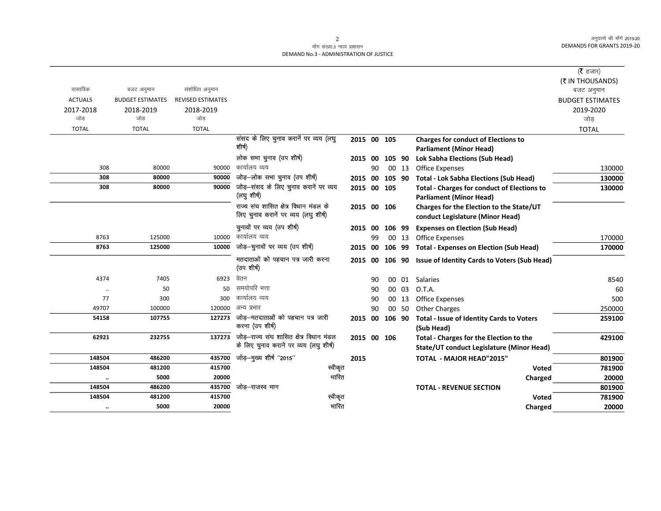अनुदानों की माँगें 2019.20 DEMANDS FOR GRANTS 2019-20

## माँग संख्या.3 न्याय प्रशासन DEMAND No.3 - ADMINISTRATION OF JUSTICE

|                |                         |                          |                                                      |                |    |        |       |                                                                                      | (रै हजार)               |
|----------------|-------------------------|--------------------------|------------------------------------------------------|----------------|----|--------|-------|--------------------------------------------------------------------------------------|-------------------------|
|                |                         |                          |                                                      |                |    |        |       |                                                                                      | (₹ IN THOUSANDS)        |
| वास्तविक       | बजट अनुमान              | संशोधित अनुमान           |                                                      |                |    |        |       |                                                                                      | बजट अनुमान              |
| <b>ACTUALS</b> | <b>BUDGET ESTIMATES</b> | <b>REVISED ESTIMATES</b> |                                                      |                |    |        |       |                                                                                      | <b>BUDGET ESTIMATES</b> |
| 2017-2018      | 2018-2019               | 2018-2019                |                                                      |                |    |        |       |                                                                                      | 2019-2020               |
| जोड            | जोड                     | जोड                      |                                                      |                |    |        |       |                                                                                      | जोड                     |
| <b>TOTAL</b>   | <b>TOTAL</b>            | <b>TOTAL</b>             |                                                      |                |    |        |       |                                                                                      | <b>TOTAL</b>            |
|                |                         |                          | संसद के लिए चुनाव करानें पर व्यय (लघु<br>शीर्ष)      | 2015 00 105    |    |        |       | <b>Charges for conduct of Elections to</b>                                           |                         |
|                |                         |                          |                                                      |                |    |        |       | <b>Parliament (Minor Head)</b>                                                       |                         |
|                |                         |                          | लोक सभा चुनाव (उप शीर्ष)                             | 2015 00        |    | 105 90 |       | <b>Lok Sabha Elections (Sub Head)</b>                                                |                         |
| 308            | 80000                   | 90000                    | कार्यालय व्यय                                        |                | 90 |        | 00 13 | <b>Office Expenses</b>                                                               | 130000                  |
| 308            | 80000                   | 90000                    | जोड़-लोक सभा चुनाव (उप शीर्ष)                        | 2015 00 105 90 |    |        |       | <b>Total - Lok Sabha Elections (Sub Head)</b>                                        | 130000                  |
| 308            | 80000                   | 90000                    | जोड़-संसद के लिए चुनाव करानें पर व्यय<br>(लघु शीर्ष) | 2015 00 105    |    |        |       | <b>Total - Charges for conduct of Elections to</b><br><b>Parliament (Minor Head)</b> | 130000                  |
|                |                         |                          | राज्य संघ शासित क्षेत्र विधान मंडल के                | 2015 00 106    |    |        |       | Charges for the Election to the State/UT                                             |                         |
|                |                         |                          | लिए चुनाव करानें पर व्यय (लघु शीर्ष)                 |                |    |        |       | conduct Legislature (Minor Head)                                                     |                         |
|                |                         |                          | चुनावों पर व्यय (उप शीर्ष)                           | 2015 00        |    | 106 99 |       | <b>Expenses on Election (Sub Head)</b>                                               |                         |
| 8763           | 125000                  | 10000                    | कार्यालय व्यय                                        |                | 99 |        | 00 13 | <b>Office Expenses</b>                                                               | 170000                  |
| 8763           | 125000                  | 10000                    | जोड़-चुनावों पर व्यय (उप शीर्ष)                      | 2015 00 106 99 |    |        |       | <b>Total - Expenses on Election (Sub Head)</b>                                       | 170000                  |
|                |                         |                          | मतदाताओं को पहचान पत्र जारी करना<br>(उप शीर्ष)       |                |    |        |       | 2015 00 106 90 Issue of Identity Cards to Voters (Sub Head)                          |                         |
| 4374           | 7405                    | 6923                     | वेतन                                                 |                | 90 |        | 00 01 | Salaries                                                                             | 8540                    |
| $\ldots$       | 50                      | 50                       | समयोपरि भत्ता                                        |                | 90 |        | 00 03 | O.T.A.                                                                               | 60                      |
| 77             | 300                     | 300                      | कार्यालय व्यय                                        |                | 90 |        | 00 13 | <b>Office Expenses</b>                                                               | 500                     |
| 49707          | 100000                  | 120000                   | अन्य प्रभार                                          |                | 90 |        | 00 50 | <b>Other Charges</b>                                                                 | 250000                  |
| 54158          | 107755                  | 127273                   | जोड़–मतदाताओं को पहचान पत्र जारी                     | 2015 00        |    | 106 90 |       | Total - Issue of Identity Cards to Voters                                            | 259100                  |
|                |                         |                          | करना (उप शीर्ष)                                      |                |    |        |       | (Sub Head)                                                                           |                         |
| 62921          | 232755                  | 137273                   | जोड़-राज्य संघ शासित क्षेत्र विधान मंडल              | 2015 00 106    |    |        |       | Total - Charges for the Election to the                                              | 429100                  |
|                |                         |                          | के लिए चुनाव करानें पर व्यय (लघु शीर्ष)              |                |    |        |       | State/UT conduct Legislature (Minor Head)                                            |                         |
| 148504         | 486200                  | 435700                   | जोड़—मुख्य शीर्ष ''2015''                            | 2015           |    |        |       | <b>TOTAL - MAJOR HEAD"2015"</b>                                                      | 801900                  |
| 148504         | 481200                  | 415700                   | स्वीकृत                                              |                |    |        |       | Voted                                                                                | 781900                  |
| $\ddotsc$      | 5000                    | 20000                    | भारित                                                |                |    |        |       | Charged                                                                              | 20000                   |
| 148504         | 486200                  | 435700                   | जोड़–राजस्व भाग                                      |                |    |        |       | <b>TOTAL - REVENUE SECTION</b>                                                       | 801900                  |
| 148504         | 481200                  | 415700                   | स्वीकृत                                              |                |    |        |       | Voted                                                                                | 781900                  |
| $\cdot$        | 5000                    | 20000                    | भारित                                                |                |    |        |       | Charged                                                                              | 20000                   |
|                |                         |                          |                                                      |                |    |        |       |                                                                                      |                         |

2